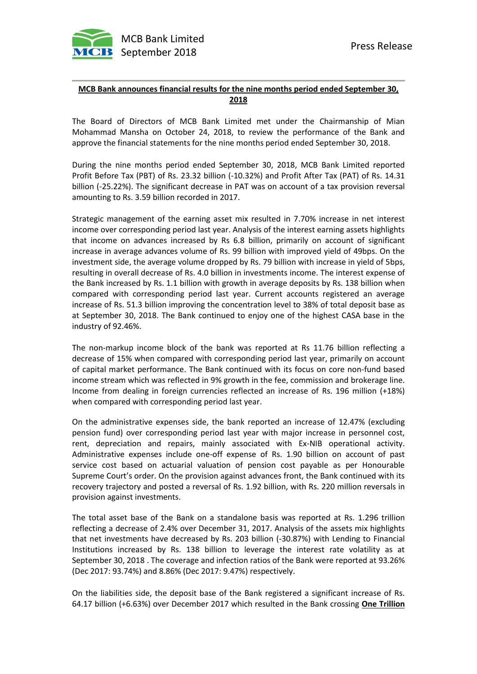

## **MCB Bank announces financial results for the nine months period ended September 30, 2018**

The Board of Directors of MCB Bank Limited met under the Chairmanship of Mian Mohammad Mansha on October 24, 2018, to review the performance of the Bank and approve the financial statements for the nine months period ended September 30, 2018.

During the nine months period ended September 30, 2018, MCB Bank Limited reported Profit Before Tax (PBT) of Rs. 23.32 billion (-10.32%) and Profit After Tax (PAT) of Rs. 14.31 billion (-25.22%). The significant decrease in PAT was on account of a tax provision reversal amounting to Rs. 3.59 billion recorded in 2017.

Strategic management of the earning asset mix resulted in 7.70% increase in net interest income over corresponding period last year. Analysis of the interest earning assets highlights that income on advances increased by Rs 6.8 billion, primarily on account of significant increase in average advances volume of Rs. 99 billion with improved yield of 49bps. On the investment side, the average volume dropped by Rs. 79 billion with increase in yield of 5bps, resulting in overall decrease of Rs. 4.0 billion in investments income. The interest expense of the Bank increased by Rs. 1.1 billion with growth in average deposits by Rs. 138 billion when compared with corresponding period last year. Current accounts registered an average increase of Rs. 51.3 billion improving the concentration level to 38% of total deposit base as at September 30, 2018. The Bank continued to enjoy one of the highest CASA base in the industry of 92.46%.

The non-markup income block of the bank was reported at Rs 11.76 billion reflecting a decrease of 15% when compared with corresponding period last year, primarily on account of capital market performance. The Bank continued with its focus on core non-fund based income stream which was reflected in 9% growth in the fee, commission and brokerage line. Income from dealing in foreign currencies reflected an increase of Rs. 196 million (+18%) when compared with corresponding period last year.

On the administrative expenses side, the bank reported an increase of 12.47% (excluding pension fund) over corresponding period last year with major increase in personnel cost, rent, depreciation and repairs, mainly associated with Ex-NIB operational activity. Administrative expenses include one-off expense of Rs. 1.90 billion on account of past service cost based on actuarial valuation of pension cost payable as per Honourable Supreme Court's order. On the provision against advances front, the Bank continued with its recovery trajectory and posted a reversal of Rs. 1.92 billion, with Rs. 220 million reversals in provision against investments.

The total asset base of the Bank on a standalone basis was reported at Rs. 1.296 trillion reflecting a decrease of 2.4% over December 31, 2017. Analysis of the assets mix highlights that net investments have decreased by Rs. 203 billion (-30.87%) with Lending to Financial Institutions increased by Rs. 138 billion to leverage the interest rate volatility as at September 30, 2018 . The coverage and infection ratios of the Bank were reported at 93.26% (Dec 2017: 93.74%) and 8.86% (Dec 2017: 9.47%) respectively.

On the liabilities side, the deposit base of the Bank registered a significant increase of Rs. 64.17 billion (+6.63%) over December 2017 which resulted in the Bank crossing **One Trillion**